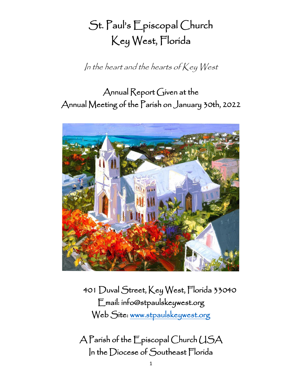# St. Paul's Episcopal Church Key West, Florida

In the heart and the hearts of  $Key West$ 

## Annual Report Given at the Annual Meeting of the Parish on January 30th, 2022



401 Duval Street, Key West, Florida 33040 Email: info@stpaulskeywest.org Web Site: www.stpaulskeywest.org

A Parish of the Episcopal Church USA In the Diocese of Southeast Florida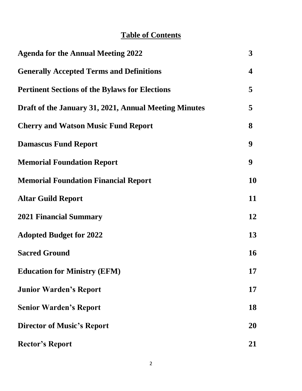## **Table of Contents**

| <b>Agenda for the Annual Meeting 2022</b>             | $\mathbf{3}$     |
|-------------------------------------------------------|------------------|
| <b>Generally Accepted Terms and Definitions</b>       | 4                |
| <b>Pertinent Sections of the Bylaws for Elections</b> | 5                |
| Draft of the January 31, 2021, Annual Meeting Minutes | 5                |
| <b>Cherry and Watson Music Fund Report</b>            | 8                |
| <b>Damascus Fund Report</b>                           | 9                |
| <b>Memorial Foundation Report</b>                     | $\boldsymbol{9}$ |
| <b>Memorial Foundation Financial Report</b>           | 10               |
| <b>Altar Guild Report</b>                             | 11               |
| <b>2021 Financial Summary</b>                         | 12               |
| <b>Adopted Budget for 2022</b>                        | 13               |
| <b>Sacred Ground</b>                                  | 16               |
| <b>Education for Ministry (EFM)</b>                   | 17               |
| <b>Junior Warden's Report</b>                         | 17               |
| <b>Senior Warden's Report</b>                         | 18               |
| <b>Director of Music's Report</b>                     | <b>20</b>        |
| <b>Rector's Report</b>                                | 21               |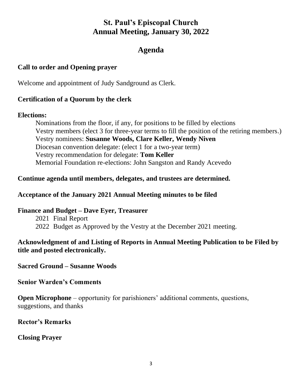#### **St. Paul's Episcopal Church Annual Meeting, January 30, 2022**

#### **Agenda**

#### **Call to order and Opening prayer**

Welcome and appointment of Judy Sandground as Clerk.

#### **Certification of a Quorum by the clerk**

#### **Elections:**

Nominations from the floor, if any, for positions to be filled by elections Vestry members (elect 3 for three-year terms to fill the position of the retiring members.) Vestry nominees: **Susanne Woods, Clare Keller, Wendy Niven** Diocesan convention delegate: (elect 1 for a two-year term) Vestry recommendation for delegate: **Tom Keller** Memorial Foundation re-elections: John Sangston and Randy Acevedo

#### **Continue agenda until members, delegates, and trustees are determined.**

#### **Acceptance of the January 2021 Annual Meeting minutes to be filed**

**Finance and Budget – Dave Eyer, Treasurer** 2021 Final Report 2022 Budget as Approved by the Vestry at the December 2021 meeting.

#### **Acknowledgment of and Listing of Reports in Annual Meeting Publication to be Filed by title and posted electronically.**

**Sacred Ground – Susanne Woods**

**Senior Warden's Comments**

**Open Microphone** – opportunity for parishioners' additional comments, questions, suggestions, and thanks

**Rector's Remarks**

**Closing Prayer**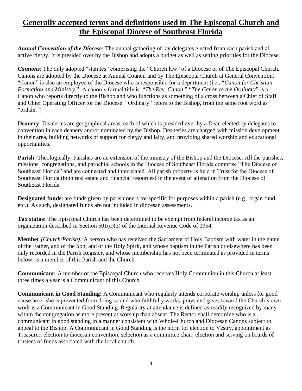## **Generally accepted terms and definitions used in The Episcopal Church and the Episcopal Diocese of Southeast Florida**

*Annual Convention of the Diocese*: The annual gathering of lay delegates elected from each parish and all active clergy. It is presided over by the Bishop and adopts a budget as well as setting priorities for the Diocese.

*Cannons*: The duly adopted "statutes" comprising the "Church law" of a Diocese or of The Episcopal Church. Canons are adopted by the Diocese at Annual Council and by The Episcopal Church at General Convention. "Canon" is also an employee of the Diocese who is responsible for a department (i.e., "*Canon for Christian Formation and Ministry*." A canon's formal title is: "*The Rev. Canon*." "*The Canon to the Ordinary*" is a Canon who reports directly to the Bishop and who functions as something of a cross between a Chief of Staff and Chief Operating Officer for the Diocese. "Ordinary" refers to the Bishop, from the same root word as "ordain.")

**Deanery:** Deaneries are geographical areas, each of which is presided over by a Dean elected by delegates to convention in each deanery and/or nominated by the Bishop. Deaneries are charged with mission development in their area, building networks of support for clergy and laity, and providing shared worship and educational opportunities.

**Parish**: Theologically, Parishes are an extension of the ministry of the Bishop and the Diocese. All the parishes, missions, congregations, and parochial schools in the Diocese of Southeast Florida comprise "The Diocese of Southeast Florida" and are connected and interrelated. All parish property is held in Trust for the Diocese of Southeast Florida (both real estate and financial resources) in the event of alienation from the Diocese of Southeast Florida.

**Designated funds**: are funds given by parishioners for specific for purposes within a parish (e.g., organ fund, etc.). As such, designated funds are not included in diocesan assessments.

**Tax status:** The Episcopal Church has been determined to be exempt from federal income tax as an organization described in Section 501(c)(3) of the Internal Revenue Code of 1954.

**Member** *(Church/Parish):* A person who has received the Sacrament of Holy Baptism with water in the name of the Father, and of the Son, and of the Holy Spirit, and whose baptism in the Parish or elsewhere has been duly recorded in the Parish Register, and whose membership has not been terminated as provided in terms below, is a member of this Parish and the Church.

**Communicant:** A member of the Episcopal Church who receives Holy Communion in this Church at least three times a year is a Communicant of this Church.

**Communicant in Good Standing:** A Communicant who regularly attends corporate worship unless for good cause he or she is prevented from doing so and who faithfully works, prays and gives toward the Church's own work is a Communicant in Good Standing. Regularity at attendance is defined as readily recognized by many within the congregation as more present at worship than absent. The Rector shall determine who is a communicant in good standing in a manner consistent with Whole-Church and Diocesan Canons subject to appeal to the Bishop. A Communicant in Good Standing is the norm for election to Vestry, appointment as Treasurer, election to diocesan convention, selection as a committee chair, election and serving on boards of trustees of funds associated with the local church.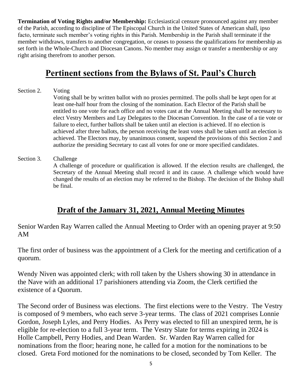**Termination of Voting Rights and/or Membership:** Ecclesiastical censure pronounced against any member of the Parish, according to discipline of The Episcopal Church in the United States of American shall, ipso facto, terminate such member's voting rights in this Parish. Membership in the Parish shall terminate if the member withdraws, transfers to another congregation, or ceases to possess the qualifications for membership as set forth in the Whole-Church and Diocesan Canons. No member may assign or transfer a membership or any right arising therefrom to another person.

## **Pertinent sections from the Bylaws of St. Paul's Church**

- Section 2. Voting Voting shall be by written ballot with no proxies permitted. The polls shall be kept open for at least one-half hour from the closing of the nomination. Each Elector of the Parish shall be entitled to one vote for each office and no votes cast at the Annual Meeting shall be necessary to elect Vestry Members and Lay Delegates to the Diocesan Convention. In the case of a tie vote or failure to elect, further ballots shall be taken until an election is achieved. If no election is achieved after three ballots, the person receiving the least votes shall be taken until an election is achieved. The Electors may, by unanimous consent, suspend the provisions of this Section 2 and authorize the presiding Secretary to cast all votes for one or more specified candidates.
- Section 3. Challenge A challenge of procedure or qualification is allowed. If the election results are challenged, the Secretary of the Annual Meeting shall record it and its cause. A challenge which would have changed the results of an election may be referred to the Bishop. The decision of the Bishop shall be final.

## **Draft of the January 31, 2021, Annual Meeting Minutes**

Senior Warden Ray Warren called the Annual Meeting to Order with an opening prayer at 9:50 AM

The first order of business was the appointment of a Clerk for the meeting and certification of a quorum.

Wendy Niven was appointed clerk; with roll taken by the Ushers showing 30 in attendance in the Nave with an additional 17 parishioners attending via Zoom, the Clerk certified the existence of a Quorum.

The Second order of Business was elections. The first elections were to the Vestry. The Vestry is composed of 9 members, who each serve 3-year terms. The class of 2021 comprises Lonnie Gordon, Joseph Lyles, and Perry Hodies. As Perry was elected to fill an unexpired term, he is eligible for re-election to a full 3-year term. The Vestry Slate for terms expiring in 2024 is Holle Campbell, Perry Hodies, and Dean Warden. Sr. Warden Ray Warren called for nominations from the floor; hearing none, he called for a motion for the nominations to be closed. Greta Ford motioned for the nominations to be closed, seconded by Tom Keller. The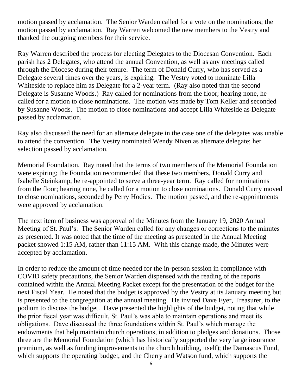motion passed by acclamation. The Senior Warden called for a vote on the nominations; the motion passed by acclamation. Ray Warren welcomed the new members to the Vestry and thanked the outgoing members for their service.

Ray Warren described the process for electing Delegates to the Diocesan Convention. Each parish has 2 Delegates, who attend the annual Convention, as well as any meetings called through the Diocese during their tenure. The term of Donald Curry, who has served as a Delegate several times over the years, is expiring. The Vestry voted to nominate Lilla Whiteside to replace him as Delegate for a 2-year term. (Ray also noted that the second Delegate is Susanne Woods.) Ray called for nominations from the floor; hearing none, he called for a motion to close nominations. The motion was made by Tom Keller and seconded by Susanne Woods. The motion to close nominations and accept Lilla Whiteside as Delegate passed by acclamation.

Ray also discussed the need for an alternate delegate in the case one of the delegates was unable to attend the convention. The Vestry nominated Wendy Niven as alternate delegate; her selection passed by acclamation.

Memorial Foundation. Ray noted that the terms of two members of the Memorial Foundation were expiring; the Foundation recommended that these two members, Donald Curry and Isabelle Steinkamp, be re-appointed to serve a three-year term. Ray called for nominations from the floor; hearing none, he called for a motion to close nominations. Donald Curry moved to close nominations, seconded by Perry Hodies. The motion passed, and the re-appointments were approved by acclamation.

The next item of business was approval of the Minutes from the January 19, 2020 Annual Meeting of St. Paul's. The Senior Warden called for any changes or corrections to the minutes as presented. It was noted that the time of the meeting as presented in the Annual Meeting packet showed 1:15 AM, rather than 11:15 AM. With this change made, the Minutes were accepted by acclamation.

In order to reduce the amount of time needed for the in-person session in compliance with COVID safety precautions, the Senior Warden dispensed with the reading of the reports contained within the Annual Meeting Packet except for the presentation of the budget for the next Fiscal Year. He noted that the budget is approved by the Vestry at its January meeting but is presented to the congregation at the annual meeting. He invited Dave Eyer, Treasurer, to the podium to discuss the budget. Dave presented the highlights of the budget, noting that while the prior fiscal year was difficult, St. Paul's was able to maintain operations and meet its obligations. Dave discussed the three foundations within St. Paul's which manage the endowments that help maintain church operations, in addition to pledges and donations. Those three are the Memorial Foundation (which has historically supported the very large insurance premium, as well as funding improvements to the church building, itself); the Damascus Fund, which supports the operating budget, and the Cherry and Watson fund, which supports the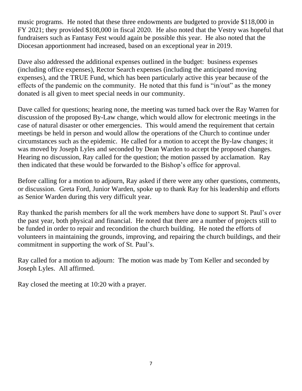music programs. He noted that these three endowments are budgeted to provide \$118,000 in FY 2021; they provided \$108,000 in fiscal 2020. He also noted that the Vestry was hopeful that fundraisers such as Fantasy Fest would again be possible this year. He also noted that the Diocesan apportionment had increased, based on an exceptional year in 2019.

Dave also addressed the additional expenses outlined in the budget: business expenses (including office expenses), Rector Search expenses (including the anticipated moving expenses), and the TRUE Fund, which has been particularly active this year because of the effects of the pandemic on the community. He noted that this fund is "in/out" as the money donated is all given to meet special needs in our community.

Dave called for questions; hearing none, the meeting was turned back over the Ray Warren for discussion of the proposed By-Law change, which would allow for electronic meetings in the case of natural disaster or other emergencies. This would amend the requirement that certain meetings be held in person and would allow the operations of the Church to continue under circumstances such as the epidemic. He called for a motion to accept the By-law changes; it was moved by Joseph Lyles and seconded by Dean Warden to accept the proposed changes. Hearing no discussion, Ray called for the question; the motion passed by acclamation. Ray then indicated that these would be forwarded to the Bishop's office for approval.

Before calling for a motion to adjourn, Ray asked if there were any other questions, comments, or discussion. Greta Ford, Junior Warden, spoke up to thank Ray for his leadership and efforts as Senior Warden during this very difficult year.

Ray thanked the parish members for all the work members have done to support St. Paul's over the past year, both physical and financial. He noted that there are a number of projects still to be funded in order to repair and recondition the church building. He noted the efforts of volunteers in maintaining the grounds, improving, and repairing the church buildings, and their commitment in supporting the work of St. Paul's.

Ray called for a motion to adjourn: The motion was made by Tom Keller and seconded by Joseph Lyles. All affirmed.

Ray closed the meeting at 10:20 with a prayer.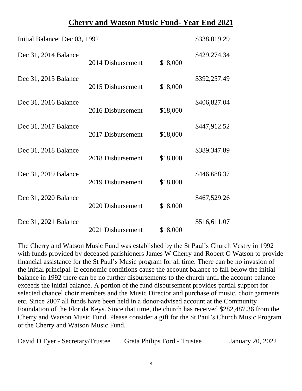#### **Cherry and Watson Music Fund- Year End 2021**

| Initial Balance: Dec 03, 1992 |                   |          | \$338,019.29 |
|-------------------------------|-------------------|----------|--------------|
| Dec 31, 2014 Balance          | 2014 Disbursement | \$18,000 | \$429,274.34 |
| Dec 31, 2015 Balance          | 2015 Disbursement | \$18,000 | \$392,257.49 |
| Dec 31, 2016 Balance          | 2016 Disbursement | \$18,000 | \$406,827.04 |
| Dec 31, 2017 Balance          | 2017 Disbursement | \$18,000 | \$447,912.52 |
| Dec 31, 2018 Balance          | 2018 Disbursement | \$18,000 | \$389.347.89 |
| Dec 31, 2019 Balance          | 2019 Disbursement | \$18,000 | \$446,688.37 |
| Dec 31, 2020 Balance          | 2020 Disbursement | \$18,000 | \$467,529.26 |
| Dec 31, 2021 Balance          | 2021 Disbursement | \$18,000 | \$516,611.07 |

The Cherry and Watson Music Fund was established by the St Paul's Church Vestry in 1992 with funds provided by deceased parishioners James W Cherry and Robert O Watson to provide financial assistance for the St Paul's Music program for all time. There can be no invasion of the initial principal. If economic conditions cause the account balance to fall below the initial balance in 1992 there can be no further disbursements to the church until the account balance exceeds the initial balance. A portion of the fund disbursement provides partial support for selected chancel choir members and the Music Director and purchase of music, choir garments etc. Since 2007 all funds have been held in a donor-advised account at the Community Foundation of the Florida Keys. Since that time, the church has received \$282,487.36 from the Cherry and Watson Music Fund. Please consider a gift for the St Paul's Church Music Program or the Cherry and Watson Music Fund.

| David D Eyer - Secretary/Trustee | Greta Philips Ford - Trustee | January 20, 2022 |
|----------------------------------|------------------------------|------------------|
|                                  |                              |                  |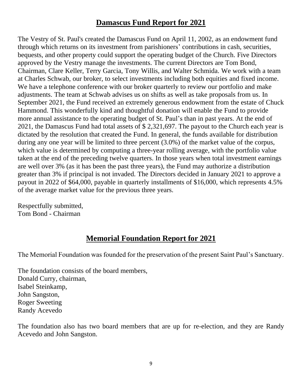## **Damascus Fund Report for 2021**

The Vestry of St. Paul's created the Damascus Fund on April 11, 2002, as an endowment fund through which returns on its investment from parishioners' contributions in cash, securities, bequests, and other property could support the operating budget of the Church. Five Directors approved by the Vestry manage the investments. The current Directors are Tom Bond, Chairman, Clare Keller, Terry Garcia, Tony Willis, and Walter Schmida. We work with a team at Charles Schwab, our broker, to select investments including both equities and fixed income. We have a telephone conference with our broker quarterly to review our portfolio and make adjustments. The team at Schwab advises us on shifts as well as take proposals from us. In September 2021, the Fund received an extremely generous endowment from the estate of Chuck Hammond. This wonderfully kind and thoughtful donation will enable the Fund to provide more annual assistance to the operating budget of St. Paul's than in past years. At the end of 2021, the Damascus Fund had total assets of \$ 2,321,697. The payout to the Church each year is dictated by the resolution that created the Fund. In general, the funds available for distribution during any one year will be limited to three percent (3.0%) of the market value of the corpus, which value is determined by computing a three-year rolling average, with the portfolio value taken at the end of the preceding twelve quarters. In those years when total investment earnings are well over 3% (as it has been the past three years), the Fund may authorize a distribution greater than 3% if principal is not invaded. The Directors decided in January 2021 to approve a payout in 2022 of \$64,000, payable in quarterly installments of \$16,000, which represents 4.5% of the average market value for the previous three years.

Respectfully submitted, Tom Bond - Chairman

### **Memorial Foundation Report for 2021**

The Memorial Foundation was founded for the preservation of the present Saint Paul's Sanctuary.

The foundation consists of the board members, Donald Curry, chairman, Isabel Steinkamp, John Sangston, Roger Sweeting Randy Acevedo

The foundation also has two board members that are up for re-election, and they are Randy Acevedo and John Sangston.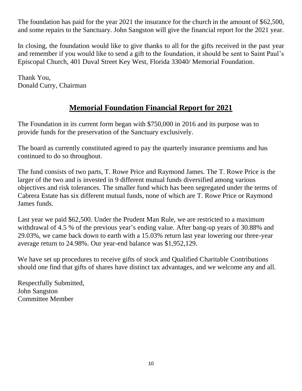The foundation has paid for the year 2021 the insurance for the church in the amount of \$62,500, and some repairs to the Sanctuary. John Sangston will give the financial report for the 2021 year.

In closing, the foundation would like to give thanks to all for the gifts received in the past year and remember if you would like to send a gift to the foundation, it should be sent to Saint Paul's Episcopal Church, 401 Duval Street Key West, Florida 33040/ Memorial Foundation.

Thank You, Donald Curry, Chairman

## **Memorial Foundation Financial Report for 2021**

The Foundation in its current form began with \$750,000 in 2016 and its purpose was to provide funds for the preservation of the Sanctuary exclusively.

The board as currently constituted agreed to pay the quarterly insurance premiums and has continued to do so throughout.

The fund consists of two parts, T. Rowe Price and Raymond James. The T. Rowe Price is the larger of the two and is invested in 9 different mutual funds diversified among various objectives and risk tolerances. The smaller fund which has been segregated under the terms of Cabrera Estate has six different mutual funds, none of which are T. Rowe Price or Raymond James funds.

Last year we paid \$62,500. Under the Prudent Man Rule, we are restricted to a maximum withdrawal of 4.5 % of the previous year's ending value. After bang-up years of 30.88% and 29.03%, we came back down to earth with a 15.03% return last year lowering our three-year average return to 24.98%. Our year-end balance was \$1,952,129.

We have set up procedures to receive gifts of stock and Qualified Charitable Contributions should one find that gifts of shares have distinct tax advantages, and we welcome any and all.

Respectfully Submitted, John Sangston Committee Member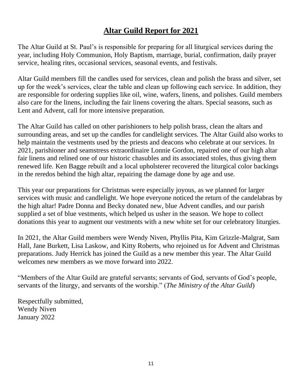## **Altar Guild Report for 2021**

The Altar Guild at St. Paul's is responsible for preparing for all liturgical services during the year, including Holy Communion, Holy Baptism, marriage, burial, confirmation, daily prayer service, healing rites, occasional services, seasonal events, and festivals.

Altar Guild members fill the candles used for services, clean and polish the brass and silver, set up for the week's services, clear the table and clean up following each service. In addition, they are responsible for ordering supplies like oil, wine, wafers, linens, and polishes. Guild members also care for the linens, including the fair linens covering the altars. Special seasons, such as Lent and Advent, call for more intensive preparation.

The Altar Guild has called on other parishioners to help polish brass, clean the altars and surrounding areas, and set up the candles for candlelight services. The Altar Guild also works to help maintain the vestments used by the priests and deacons who celebrate at our services. In 2021, parishioner and seamstress extraordinaire Lonnie Gordon, repaired one of our high altar fair linens and relined one of our historic chasubles and its associated stoles, thus giving them renewed life. Ken Bagge rebuilt and a local upholsterer recovered the liturgical color backings in the reredos behind the high altar, repairing the damage done by age and use.

This year our preparations for Christmas were especially joyous, as we planned for larger services with music and candlelight. We hope everyone noticed the return of the candelabras by the high altar! Padre Donna and Becky donated new, blue Advent candles, and our parish supplied a set of blue vestments, which helped us usher in the season. We hope to collect donations this year to augment our vestments with a new white set for our celebratory liturgies.

In 2021, the Altar Guild members were Wendy Niven, Phyllis Pita, Kim Grizzle-Malgrat, Sam Hall, Jane Burkett, Lisa Laskow, and Kitty Roberts, who rejoined us for Advent and Christmas preparations. Judy Herrick has joined the Guild as a new member this year. The Altar Guild welcomes new members as we move forward into 2022.

"Members of the Altar Guild are grateful servants; servants of God, servants of God's people, servants of the liturgy, and servants of the worship." (*The Ministry of the Altar Guild*)

Respectfully submitted, Wendy Niven January 2022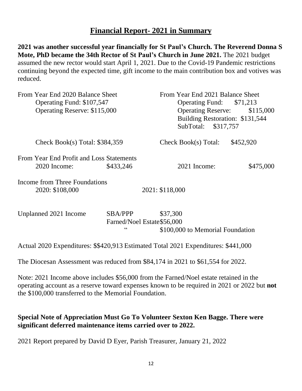#### **Financial Report- 2021 in Summary**

**2021 was another successful year financially for St Paul's Church. The Reverend Donna S Mote, PhD became the 34th Rector of St Paul's Church in June 2021.** The 2021 budget assumed the new rector would start April 1, 2021. Due to the Covid-19 Pandemic restrictions continuing beyond the expected time, gift income to the main contribution box and votives was reduced.

| From Year End 2020 Balance Sheet<br>Operating Fund: \$107,547<br>Operating Reserve: \$115,000 | From Year End 2021 Balance Sheet<br>Operating Fund: \$71,213<br>Operating Reserve: \$115,000<br>Building Restoration: \$131,544<br>SubTotal: \$317,757 |  |  |
|-----------------------------------------------------------------------------------------------|--------------------------------------------------------------------------------------------------------------------------------------------------------|--|--|
| Check Book(s) Total: $$384,359$                                                               | \$452,920<br>Check Book(s) Total:                                                                                                                      |  |  |
| From Year End Profit and Loss Statements<br>\$433,246<br>$2020$ Income:                       | $2021$ Income:<br>\$475,000                                                                                                                            |  |  |
| Income from Three Foundations<br>2020: \$108,000                                              | 2021: \$118,000                                                                                                                                        |  |  |

| Unplanned 2021 Income | SBA/PPP                    | \$37,300 |                                  |
|-----------------------|----------------------------|----------|----------------------------------|
|                       | Farned/Noel Estate\$56,000 |          |                                  |
|                       |                            |          | \$100,000 to Memorial Foundation |

Actual 2020 Expenditures: \$\$420,913 Estimated Total 2021 Expenditures: \$441,000

The Diocesan Assessment was reduced from \$84,174 in 2021 to \$61,554 for 2022.

Note: 2021 Income above includes \$56,000 from the Farned/Noel estate retained in the operating account as a reserve toward expenses known to be required in 2021 or 2022 but **not** the \$100,000 transferred to the Memorial Foundation.

#### **Special Note of Appreciation Must Go To Volunteer Sexton Ken Bagge. There were significant deferred maintenance items carried over to 2022.**

2021 Report prepared by David D Eyer, Parish Treasurer, January 21, 2022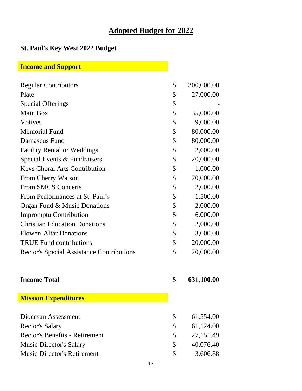## **Adopted Budget for 2022**

## **St. Paul's Key West 2022 Budget**

## **Income and Support**

| <b>Regular Contributors</b>                      | \$            | 300,000.00 |
|--------------------------------------------------|---------------|------------|
| Plate                                            | \$            | 27,000.00  |
| <b>Special Offerings</b>                         | \$            |            |
| Main Box                                         | \$            | 35,000.00  |
| Votives                                          | \$            | 9,000.00   |
| <b>Memorial Fund</b>                             | \$            | 80,000.00  |
| Damascus Fund                                    | \$            | 80,000.00  |
| <b>Facility Rental or Weddings</b>               | \$            | 2,600.00   |
| Special Events & Fundraisers                     | \$            | 20,000.00  |
| <b>Keys Choral Arts Contribution</b>             | \$            | 1,000.00   |
| From Cherry Watson                               | \$            | 20,000.00  |
| <b>From SMCS Concerts</b>                        | \$            | 2,000.00   |
| From Performances at St. Paul's                  | \$            | 1,500.00   |
| Organ Fund & Music Donations                     | \$            | 2,000.00   |
| <b>Impromptu Contribution</b>                    | \$            | 6,000.00   |
| <b>Christian Education Donations</b>             | \$            | 2,000.00   |
| <b>Flower/ Altar Donations</b>                   | \$            | 3,000.00   |
| <b>TRUE Fund contributions</b>                   | \$            | 20,000.00  |
| <b>Rector's Special Assistance Contributions</b> | \$            | 20,000.00  |
| <b>Income Total</b>                              | \$            | 631,100.00 |
| <b>Mission Expenditures</b>                      |               |            |
| Diocesan Assessment                              | \$            |            |
|                                                  |               | 61,554.00  |
| <b>Rector's Salary</b>                           | \$            | 61,124.00  |
| <b>Rector's Benefits - Retirement</b>            | \$            | 27,151.49  |
| <b>Music Director's Salary</b>                   | \$            | 40,076.40  |
| <b>Music Director's Retirement</b>               | $\mathcal{S}$ | 3,606.88   |

13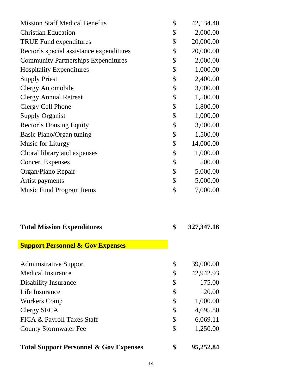| <b>Mission Staff Medical Benefits</b>             | \$<br>42,134.40    |
|---------------------------------------------------|--------------------|
| <b>Christian Education</b>                        | \$<br>2,000.00     |
| <b>TRUE Fund expenditures</b>                     | \$<br>20,000.00    |
| Rector's special assistance expenditures          | \$<br>20,000.00    |
| <b>Community Partnerships Expenditures</b>        | \$<br>2,000.00     |
| <b>Hospitality Expenditures</b>                   | \$<br>1,000.00     |
| <b>Supply Priest</b>                              | \$<br>2,400.00     |
| <b>Clergy Automobile</b>                          | \$<br>3,000.00     |
| <b>Clergy Annual Retreat</b>                      | \$<br>1,500.00     |
| Clergy Cell Phone                                 | \$<br>1,800.00     |
| <b>Supply Organist</b>                            | \$<br>1,000.00     |
| Rector's Housing Equity                           | \$<br>3,000.00     |
| Basic Piano/Organ tuning                          | \$<br>1,500.00     |
| Music for Liturgy                                 | \$<br>14,000.00    |
| Choral library and expenses                       | \$<br>1,000.00     |
| <b>Concert Expenses</b>                           | \$<br>500.00       |
| Organ/Piano Repair                                | \$<br>5,000.00     |
| Artist payments                                   | \$<br>5,000.00     |
| Music Fund Program Items                          | \$<br>7,000.00     |
| <b>Total Mission Expenditures</b>                 | \$<br>327, 347. 16 |
| <b>Support Personnel &amp; Gov Expenses</b>       |                    |
| <b>Administrative Support</b>                     | \$<br>39,000.00    |
| <b>Medical Insurance</b>                          | \$<br>42,942.93    |
| <b>Disability Insurance</b>                       | \$<br>175.00       |
| Life Insurance                                    | \$<br>120.00       |
| <b>Workers Comp</b>                               | \$<br>1,000.00     |
| Clergy SECA                                       | \$<br>4,695.80     |
| FICA & Payroll Taxes Staff                        | \$<br>6,069.11     |
| <b>County Stormwater Fee</b>                      | \$<br>1,250.00     |
| <b>Total Support Personnel &amp; Gov Expenses</b> | \$<br>95,252.84    |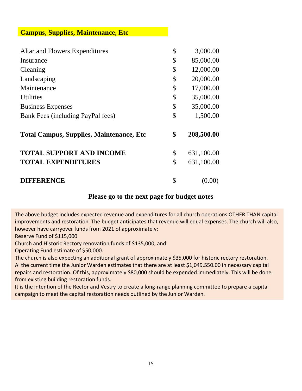#### **Campus, Supplies, Maintenance, Etc**

| Altar and Flowers Expenditures                   | \$<br>3,000.00   |
|--------------------------------------------------|------------------|
| Insurance                                        | \$<br>85,000.00  |
| Cleaning                                         | \$<br>12,000.00  |
| Landscaping                                      | \$<br>20,000.00  |
| Maintenance                                      | \$<br>17,000.00  |
| <b>Utilities</b>                                 | \$<br>35,000.00  |
| <b>Business Expenses</b>                         | \$<br>35,000.00  |
| Bank Fees (including PayPal fees)                | \$<br>1,500.00   |
| <b>Total Campus, Supplies, Maintenance, Etc.</b> | \$<br>208,500.00 |
| <b>TOTAL SUPPORT AND INCOME</b>                  | \$<br>631,100.00 |
| <b>TOTAL EXPENDITURES</b>                        | \$<br>631,100.00 |
| <b>DIFFERENCE</b>                                | \$<br>(0.00)     |

#### **Please go to the next page for budget notes**

The above budget includes expected revenue and expenditures for all church operations OTHER THAN capital improvements and restoration. The budget anticipates that revenue will equal expenses. The church will also, however have carryover funds from 2021 of approximately:

Reserve Fund of \$115,000

Church and Historic Rectory renovation funds of \$135,000, and

Operating Fund estimate of \$50,000.

The church is also expecting an additional grant of approximately \$35,000 for historic rectory restoration. Al the current time the Junior Warden estimates that there are at least \$1,049,550.00 in necessary capital repairs and restoration. Of this, approximately \$80,000 should be expended immediately. This will be done from existing building restoration funds.

It is the intention of the Rector and Vestry to create a long-range planning committee to prepare a capital campaign to meet the capital restoration needs outlined by the Junior Warden.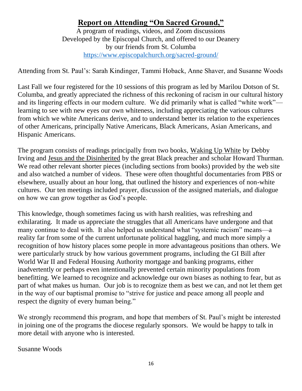## **Report on Attending "On Sacred Ground,"**

A program of readings, videos, and Zoom discussions Developed by the Episcopal Church, and offered to our Deanery by our friends from St. Columba <https://www.episcopalchurch.org/sacred-ground/>

Attending from St. Paul's: Sarah Kindinger, Tammi Hoback, Anne Shaver, and Susanne Woods

Last Fall we four registered for the 10 sessions of this program as led by Marilou Dotson of St. Columba, and greatly appreciated the richness of this reckoning of racism in our cultural history and its lingering effects in our modern culture. We did primarily what is called "white work" learning to see with new eyes our own whiteness, including appreciating the various cultures from which we white Americans derive, and to understand better its relation to the experiences of other Americans, principally Native Americans, Black Americans, Asian Americans, and Hispanic Americans.

The program consists of readings principally from two books, Waking Up White by Debby Irving and Jesus and the Disinherited by the great Black preacher and scholar Howard Thurman. We read other relevant shorter pieces (including sections from books) provided by the web site and also watched a number of videos. These were often thoughtful documentaries from PBS or elsewhere, usually about an hour long, that outlined the history and experiences of non-white cultures. Our ten meetings included prayer, discussion of the assigned materials, and dialogue on how we can grow together as God's people.

This knowledge, though sometimes facing us with harsh realities, was refreshing and exhilarating. It made us appreciate the struggles that all Americans have undergone and that many continue to deal with. It also helped us understand what "systemic racism" means—a reality far from some of the current unfortunate political haggling, and much more simply a recognition of how history places some people in more advantageous positions than others. We were particularly struck by how various government programs, including the GI Bill after World War II and Federal Housing Authority mortgage and banking programs, either inadvertently or perhaps even intentionally prevented certain minority populations from benefitting. We learned to recognize and acknowledge our own biases as nothing to fear, but as part of what makes us human. Our job is to recognize them as best we can, and not let them get in the way of our baptismal promise to "strive for justice and peace among all people and respect the dignity of every human being."

We strongly recommend this program, and hope that members of St. Paul's might be interested in joining one of the programs the diocese regularly sponsors. We would be happy to talk in more detail with anyone who is interested.

Susanne Woods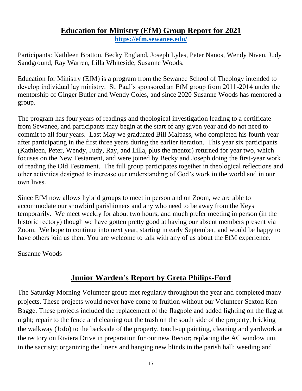#### **Education for Ministry (EfM) Group Report for 2021 <https://efm.sewanee.edu/>**

Participants: Kathleen Bratton, Becky England, Joseph Lyles, Peter Nanos, Wendy Niven, Judy Sandground, Ray Warren, Lilla Whiteside, Susanne Woods.

Education for Ministry (EfM) is a program from the Sewanee School of Theology intended to develop individual lay ministry. St. Paul's sponsored an EfM group from 2011-2014 under the mentorship of Ginger Butler and Wendy Coles, and since 2020 Susanne Woods has mentored a group.

The program has four years of readings and theological investigation leading to a certificate from Sewanee, and participants may begin at the start of any given year and do not need to commit to all four years. Last May we graduated Bill Malpass, who completed his fourth year after participating in the first three years during the earlier iteration. This year six participants (Kathleen, Peter, Wendy, Judy, Ray, and Lilla, plus the mentor) returned for year two, which focuses on the New Testament, and were joined by Becky and Joseph doing the first-year work of reading the Old Testament. The full group participates together in theological reflections and other activities designed to increase our understanding of God's work in the world and in our own lives.

Since EfM now allows hybrid groups to meet in person and on Zoom, we are able to accommodate our snowbird parishioners and any who need to be away from the Keys temporarily. We meet weekly for about two hours, and much prefer meeting in person (in the historic rectory) though we have gotten pretty good at having our absent members present via Zoom. We hope to continue into next year, starting in early September, and would be happy to have others join us then. You are welcome to talk with any of us about the EfM experience.

Susanne Woods

### **Junior Warden's Report by Greta Philips-Ford**

The Saturday Morning Volunteer group met regularly throughout the year and completed many projects. These projects would never have come to fruition without our Volunteer Sexton Ken Bagge. These projects included the replacement of the flagpole and added lighting on the flag at night; repair to the fence and cleaning out the trash on the south side of the property, bricking the walkway (JoJo) to the backside of the property, touch-up painting, cleaning and yardwork at the rectory on Riviera Drive in preparation for our new Rector; replacing the AC window unit in the sacristy; organizing the linens and hanging new blinds in the parish hall; weeding and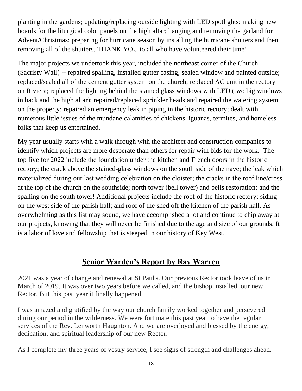planting in the gardens; updating/replacing outside lighting with LED spotlights; making new boards for the liturgical color panels on the high altar; hanging and removing the garland for Advent/Christmas; preparing for hurricane season by installing the hurricane shutters and then removing all of the shutters. THANK YOU to all who have volunteered their time!

The major projects we undertook this year, included the northeast corner of the Church (Sacristy Wall) -- repaired spalling, installed gutter casing, sealed window and painted outside; replaced/sealed all of the cement gutter system on the church; replaced AC unit in the rectory on Riviera; replaced the lighting behind the stained glass windows with LED (two big windows in back and the high altar); repaired/replaced sprinkler heads and repaired the watering system on the property; repaired an emergency leak in piping in the historic rectory; dealt with numerous little issues of the mundane calamities of chickens, iguanas, termites, and homeless folks that keep us entertained.

My year usually starts with a walk through with the architect and construction companies to identify which projects are more desperate than others for repair with bids for the work. The top five for 2022 include the foundation under the kitchen and French doors in the historic rectory; the crack above the stained-glass windows on the south side of the nave; the leak which materialized during our last wedding celebration on the cloister; the cracks in the roof line/cross at the top of the church on the southside; north tower (bell tower) and bells restoration; and the spalling on the south tower! Additional projects include the roof of the historic rectory; siding on the west side of the parish hall; and roof of the shed off the kitchen of the parish hall. As overwhelming as this list may sound, we have accomplished a lot and continue to chip away at our projects, knowing that they will never be finished due to the age and size of our grounds. It is a labor of love and fellowship that is steeped in our history of Key West.

## **Senior Warden's Report by Ray Warren**

2021 was a year of change and renewal at St Paul's. Our previous Rector took leave of us in March of 2019. It was over two years before we called, and the bishop installed, our new Rector. But this past year it finally happened.

I was amazed and gratified by the way our church family worked together and persevered during our period in the wilderness. We were fortunate this past year to have the regular services of the Rev. Lenworth Haughton. And we are overjoyed and blessed by the energy, dedication, and spiritual leadership of our new Rector.

As I complete my three years of vestry service, I see signs of strength and challenges ahead.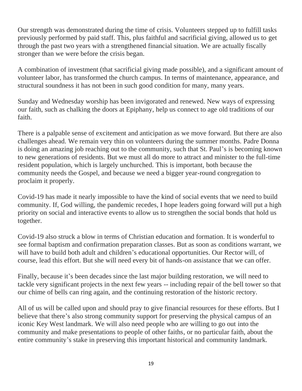Our strength was demonstrated during the time of crisis. Volunteers stepped up to fulfill tasks previously performed by paid staff. This, plus faithful and sacrificial giving, allowed us to get through the past two years with a strengthened financial situation. We are actually fiscally stronger than we were before the crisis began.

A combination of investment (that sacrificial giving made possible), and a significant amount of volunteer labor, has transformed the church campus. In terms of maintenance, appearance, and structural soundness it has not been in such good condition for many, many years.

Sunday and Wednesday worship has been invigorated and renewed. New ways of expressing our faith, such as chalking the doors at Epiphany, help us connect to age old traditions of our faith.

There is a palpable sense of excitement and anticipation as we move forward. But there are also challenges ahead. We remain very thin on volunteers during the summer months. Padre Donna is doing an amazing job reaching out to the community, such that St. Paul's is becoming known to new generations of residents. But we must all do more to attract and minister to the full-time resident population, which is largely unchurched. This is important, both because the community needs the Gospel, and because we need a bigger year-round congregation to proclaim it properly.

Covid-19 has made it nearly impossible to have the kind of social events that we need to build community. If, God willing, the pandemic recedes, I hope leaders going forward will put a high priority on social and interactive events to allow us to strengthen the social bonds that hold us together.

Covid-19 also struck a blow in terms of Christian education and formation. It is wonderful to see formal baptism and confirmation preparation classes. But as soon as conditions warrant, we will have to build both adult and children's educational opportunities. Our Rector will, of course, lead this effort. But she will need every bit of hands-on assistance that we can offer.

Finally, because it's been decades since the last major building restoration, we will need to tackle very significant projects in the next few years -- including repair of the bell tower so that our chime of bells can ring again, and the continuing restoration of the historic rectory.

All of us will be called upon and should pray to give financial resources for these efforts. But I believe that there's also strong community support for preserving the physical campus of an iconic Key West landmark. We will also need people who are willing to go out into the community and make presentations to people of other faiths, or no particular faith, about the entire community's stake in preserving this important historical and community landmark.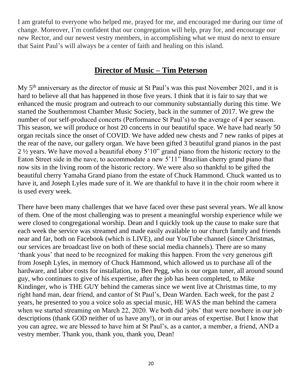I am grateful to everyone who helped me, prayed for me, and encouraged me during our time of change. Moreover, I'm confident that our congregation will help, pray for, and encourage our new Rector, and our newest vestry members, in accomplishing what we must do next to ensure that Saint Paul's will always be a center of faith and healing on this island.

#### **Director of Music – Tim Peterson**

My 5th anniversary as the director of music at St Paul's was this past November 2021, and it is hard to believe all that has happened in those five years. I think that it is fair to say that we enhanced the music program and outreach to our community substantially during this time. We started the Southernmost Chamber Music Society, back in the summer of 2017. We grew the number of our self-produced concerts (Performance St Paul's) to the average of 4 per season. This season, we will produce or host 20 concerts in our beautiful space. We have had nearly 50 organ recitals since the onset of COVID. We have added new chests and 7 new ranks of pipes at the rear of the nave, our gallery organ. We have been gifted 3 beautiful grand pianos in the past 2 ½ years. We have moved a beautiful ebony 5'10" grand piano from the historic rectory to the Eaton Street side in the nave, to accommodate a new 5'11" Brazilian cherry grand piano that now sits in the living room of the historic rectory. We were also so thankful to be gifted the beautiful cherry Yamaha Grand piano from the estate of Chuck Hammond. Chuck wanted us to have it, and Joseph Lyles made sure of it. We are thankful to have it in the choir room where it is used every week.

There have been many challenges that we have faced over these past several years. We all know of them. One of the most challenging was to present a meaningful worship experience while we were closed to congregational worship. Dean and I quickly took up the cause to make sure that each week the service was streamed and made easily available to our church family and friends near and far, both on Facebook (which is LIVE), and our YouTube channel (since Christmas, our services are broadcast live on both of these social media channels). There are so many 'thank yous' that need to be recognized for making this happen. From the very generous gift from Joseph Lyles, in memory of Chuck Hammond, which allowed us to purchase all of the hardware, and labor costs for installation, to Ben Pegg, who is our organ tuner, all around sound guy, who continues to give of his expertise, after the job has been completed, to Mike Kindinger, who is THE GUY behind the cameras since we went live at Christmas time, to my right hand man, dear friend, and cantor of St Paul's, Dean Warden. Each week, for the past 2 years, he presented to you a voice solo as special music, HE WAS the man behind the camera when we started streaming on March 22, 2020. We both did 'jobs' that were nowhere in our job descriptions (thank GOD neither of us have any!), or in our areas of expertise. But I know that you can agree, we are blessed to have him at St Paul's, as a cantor, a member, a friend, AND a vestry member. Thank you, thank you, thank you, Dean!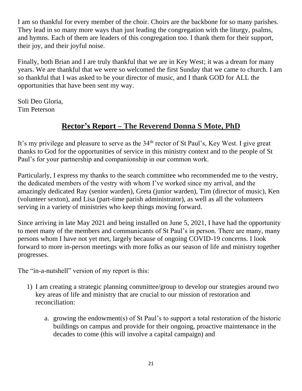I am so thankful for every member of the choir. Choirs are the backbone for so many parishes. They lead in so many more ways than just leading the congregation with the liturgy, psalms, and hymns. Each of them are leaders of this congregation too. I thank them for their support, their joy, and their joyful noise.

Finally, both Brian and I are truly thankful that we are in Key West; it was a dream for many years. We are thankful that we were so welcomed the first Sunday that we came to church. I am so thankful that I was asked to be your director of music, and I thank GOD for ALL the opportunities that have been sent my way.

Soli Deo Gloria, Tim Peterson

## **Rector's Report – The Reverend Donna S Mote, PhD**

It's my privilege and pleasure to serve as the 34<sup>th</sup> rector of St Paul's, Key West. I give great thanks to God for the opportunities of service in this ministry context and to the people of St Paul's for your partnership and companionship in our common work.

Particularly, I express my thanks to the search committee who recommended me to the vestry, the dedicated members of the vestry with whom I've worked since my arrival, and the amazingly dedicated Ray (senior warden), Greta (junior warden), Tim (director of music), Ken (volunteer sexton), and Lisa (part-time parish administrator), as well as all the volunteers serving in a variety of ministries who keep things moving forward.

Since arriving in late May 2021 and being installed on June 5, 2021, I have had the opportunity to meet many of the members and communicants of St Paul's in person. There are many, many persons whom I have not yet met, largely because of ongoing COVID-19 concerns. I look forward to more in-person meetings with more folks as our season of life and ministry together progresses.

The "in-a-nutshell" version of my report is this:

- 1) I am creating a strategic planning committee/group to develop our strategies around two key areas of life and ministry that are crucial to our mission of restoration and reconciliation:
	- a. growing the endowment(s) of St Paul's to support a total restoration of the historic buildings on campus and provide for their ongoing, proactive maintenance in the decades to come (this will involve a capital campaign) and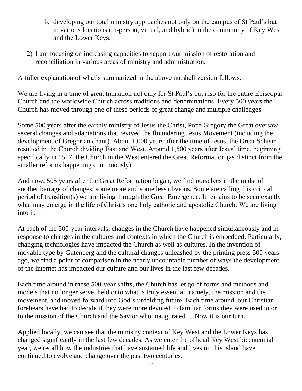- b. developing our total ministry approaches not only on the campus of St Paul's but in various locations (in-person, virtual, and hybrid) in the community of Key West and the Lower Keys.
- 2) I am focusing on increasing capacities to support our mission of restoration and reconciliation in various areas of ministry and administration.

A fuller explanation of what's summarized in the above nutshell version follows.

We are living in a time of great transition not only for St Paul's but also for the entire Episcopal Church and the worldwide Church across traditions and denominations. Every 500 years the Church has moved through one of these periods of great change and multiple challenges.

Some 500 years after the earthly ministry of Jesus the Christ, Pope Gregory the Great oversaw several changes and adaptations that revived the floundering Jesus Movement (including the development of Gregorian chant). About 1,000 years after the time of Jesus, the Great Schism resulted in the Church dividing East and West. Around 1,500 years after Jesus' time, beginning specifically in 1517, the Church in the West entered the Great Reformation (as distinct from the smaller reforms happening continuously).

And now, 505 years after the Great Reformation began, we find ourselves in the midst of another barrage of changes, some more and some less obvious. Some are calling this critical period of transition(s) we are living through the Great Emergence. It remains to be seen exactly what may emerge in the life of Christ's one holy catholic and apostolic Church. We are living into it.

At each of the 500-year intervals, changes in the Church have happened simultaneously and in response to changes in the cultures and contexts in which the Church is embedded. Particularly, changing technologies have impacted the Church as well as cultures. In the invention of movable type by Gutenberg and the cultural changes unleashed by the printing press 500 years ago, we find a point of comparison in the nearly uncountable number of ways the development of the internet has impacted our culture and our lives in the last few decades.

Each time around in these 500-year shifts, the Church has let go of forms and methods and models that no longer serve, held onto what is truly essential, namely, the mission and the movement, and moved forward into God's unfolding future. Each time around, our Christian forebears have had to decide if they were more devoted to familiar forms they were used to or to the mission of the Church and the Savior who inaugurated it. Now it is our turn.

Applied locally, we can see that the ministry context of Key West and the Lower Keys has changed significantly in the last few decades. As we enter the official Key West bicentennial year, we recall how the industries that have sustained life and lives on this island have continued to evolve and change over the past two centuries.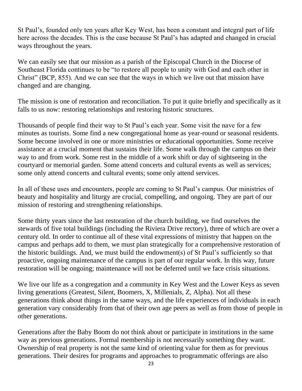St Paul's, founded only ten years after Key West, has been a constant and integral part of life here across the decades. This is the case because St Paul's has adapted and changed in crucial ways throughout the years.

We can easily see that our mission as a parish of the Episcopal Church in the Diocese of Southeast Florida continues to be "to restore all people to unity with God and each other in Christ" (BCP, 855). And we can see that the ways in which we live out that mission have changed and are changing.

The mission is one of restoration and reconciliation. To put it quite briefly and specifically as it falls to us now: restoring relationships and restoring historic structures.

Thousands of people find their way to St Paul's each year. Some visit the nave for a few minutes as tourists. Some find a new congregational home as year-round or seasonal residents. Some become involved in one or more ministries or educational opportunities. Some receive assistance at a crucial moment that sustains their life. Some walk through the campus on their way to and from work. Some rest in the middle of a work shift or day of sightseeing in the courtyard or memorial garden. Some attend concerts and cultural events as well as services; some only attend concerts and cultural events; some only attend services.

In all of these uses and encounters, people are coming to St Paul's campus. Our ministries of beauty and hospitality and liturgy are crucial, compelling, and ongoing. They are part of our mission of restoring and strengthening relationships.

Some thirty years since the last restoration of the church building, we find ourselves the stewards of five total buildings (including the Riviera Drive rectory), three of which are over a century old. In order to continue all of these vital expressions of ministry that happen on the campus and perhaps add to them, we must plan strategically for a comprehensive restoration of the historic buildings. And, we must build the endowment(s) of St Paul's sufficiently so that proactive, ongoing maintenance of the campus is part of our regular work. In this way, future restoration will be ongoing; maintenance will not be deferred until we face crisis situations.

We live our life as a congregation and a community in Key West and the Lower Keys as seven living generations (Greatest, Silent, Boomers, X, Millenials, Z, Alpha). Not all these generations think about things in the same ways, and the life experiences of individuals in each generation vary considerably from that of their own age peers as well as from those of people in other generations.

Generations after the Baby Boom do not think about or participate in institutions in the same way as previous generations. Formal membership is not necessarily something they want. Ownership of real property is not the same kind of orienting value for them as for previous generations. Their desires for programs and approaches to programmatic offerings are also